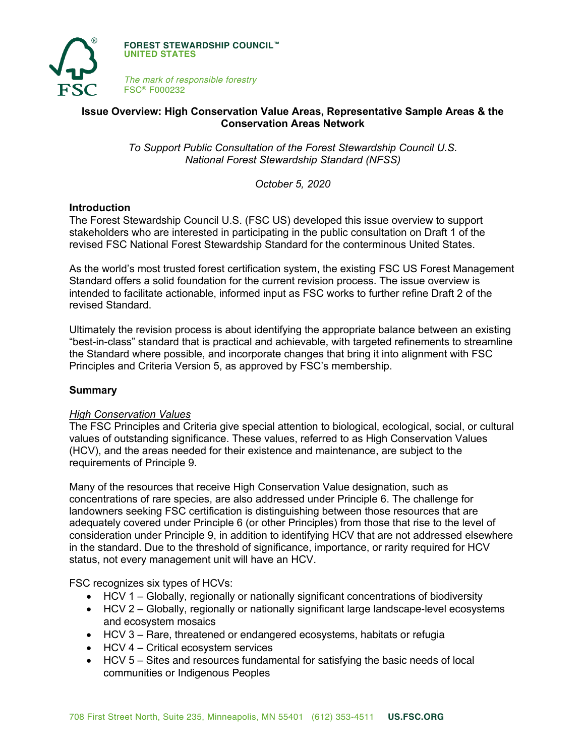

**FOREST STEWARDSHIP COUNCIL™ UNITED STATES**

*The mark of responsible forestry* FSC® F000232

# **Issue Overview: High Conservation Value Areas, Representative Sample Areas & the Conservation Areas Network**

*To Support Public Consultation of the Forest Stewardship Council U.S. National Forest Stewardship Standard (NFSS)*

*October 5, 2020*

## **Introduction**

The Forest Stewardship Council U.S. (FSC US) developed this issue overview to support stakeholders who are interested in participating in the public consultation on Draft 1 of the revised FSC National Forest Stewardship Standard for the conterminous United States.

As the world's most trusted forest certification system, the existing FSC US Forest Management Standard offers a solid foundation for the current revision process. The issue overview is intended to facilitate actionable, informed input as FSC works to further refine Draft 2 of the revised Standard.

Ultimately the revision process is about identifying the appropriate balance between an existing "best-in-class" standard that is practical and achievable, with targeted refinements to streamline the Standard where possible, and incorporate changes that bring it into alignment with FSC Principles and Criteria Version 5, as approved by FSC's membership.

### **Summary**

### *High Conservation Values*

The FSC Principles and Criteria give special attention to biological, ecological, social, or cultural values of outstanding significance. These values, referred to as High Conservation Values (HCV), and the areas needed for their existence and maintenance, are subject to the requirements of Principle 9.

Many of the resources that receive High Conservation Value designation, such as concentrations of rare species, are also addressed under Principle 6. The challenge for landowners seeking FSC certification is distinguishing between those resources that are adequately covered under Principle 6 (or other Principles) from those that rise to the level of consideration under Principle 9, in addition to identifying HCV that are not addressed elsewhere in the standard. Due to the threshold of significance, importance, or rarity required for HCV status, not every management unit will have an HCV.

FSC recognizes six types of HCVs:

- HCV 1 Globally, regionally or nationally significant concentrations of biodiversity
- HCV 2 Globally, regionally or nationally significant large landscape-level ecosystems and ecosystem mosaics
- HCV 3 Rare, threatened or endangered ecosystems, habitats or refugia
- HCV 4 Critical ecosystem services
- HCV 5 Sites and resources fundamental for satisfying the basic needs of local communities or Indigenous Peoples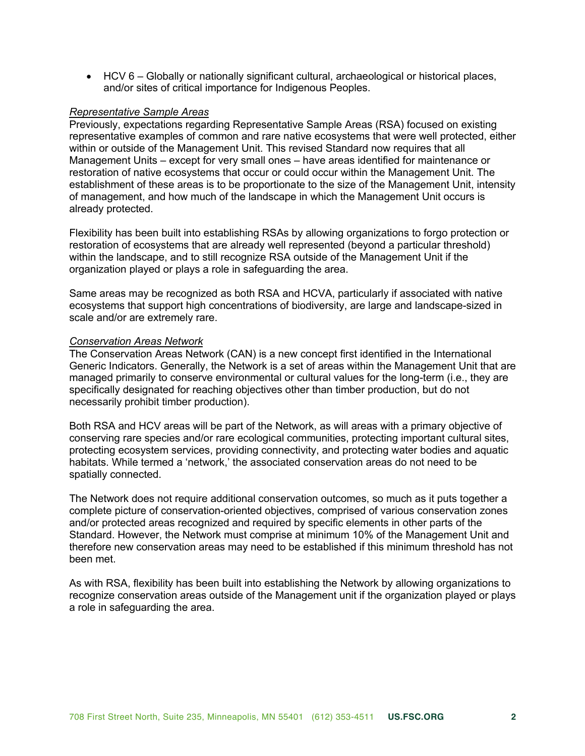• HCV 6 – Globally or nationally significant cultural, archaeological or historical places, and/or sites of critical importance for Indigenous Peoples.

#### *Representative Sample Areas*

Previously, expectations regarding Representative Sample Areas (RSA) focused on existing representative examples of common and rare native ecosystems that were well protected, either within or outside of the Management Unit. This revised Standard now requires that all Management Units – except for very small ones – have areas identified for maintenance or restoration of native ecosystems that occur or could occur within the Management Unit. The establishment of these areas is to be proportionate to the size of the Management Unit, intensity of management, and how much of the landscape in which the Management Unit occurs is already protected.

Flexibility has been built into establishing RSAs by allowing organizations to forgo protection or restoration of ecosystems that are already well represented (beyond a particular threshold) within the landscape, and to still recognize RSA outside of the Management Unit if the organization played or plays a role in safeguarding the area.

Same areas may be recognized as both RSA and HCVA, particularly if associated with native ecosystems that support high concentrations of biodiversity, are large and landscape-sized in scale and/or are extremely rare.

### *Conservation Areas Network*

The Conservation Areas Network (CAN) is a new concept first identified in the International Generic Indicators. Generally, the Network is a set of areas within the Management Unit that are managed primarily to conserve environmental or cultural values for the long-term (i.e., they are specifically designated for reaching objectives other than timber production, but do not necessarily prohibit timber production).

Both RSA and HCV areas will be part of the Network, as will areas with a primary objective of conserving rare species and/or rare ecological communities, protecting important cultural sites, protecting ecosystem services, providing connectivity, and protecting water bodies and aquatic habitats. While termed a 'network,' the associated conservation areas do not need to be spatially connected.

The Network does not require additional conservation outcomes, so much as it puts together a complete picture of conservation-oriented objectives, comprised of various conservation zones and/or protected areas recognized and required by specific elements in other parts of the Standard. However, the Network must comprise at minimum 10% of the Management Unit and therefore new conservation areas may need to be established if this minimum threshold has not been met.

As with RSA, flexibility has been built into establishing the Network by allowing organizations to recognize conservation areas outside of the Management unit if the organization played or plays a role in safeguarding the area.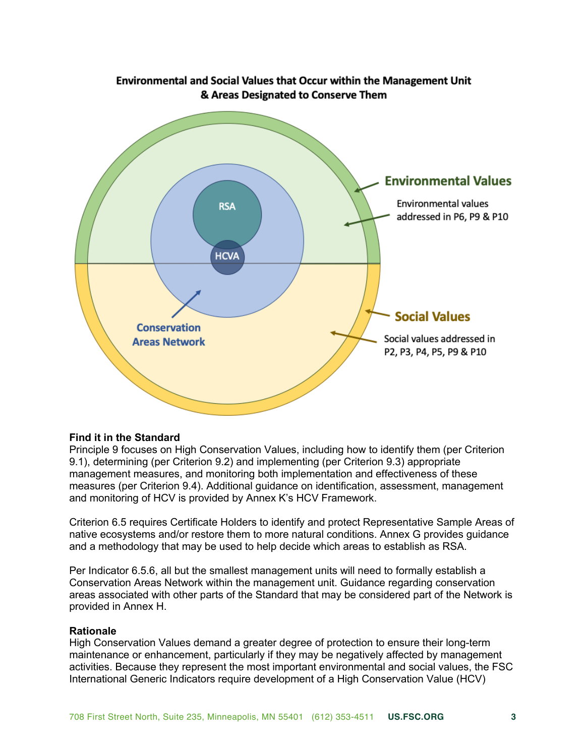

# **Find it in the Standard**

Principle 9 focuses on High Conservation Values, including how to identify them (per Criterion 9.1), determining (per Criterion 9.2) and implementing (per Criterion 9.3) appropriate management measures, and monitoring both implementation and effectiveness of these measures (per Criterion 9.4). Additional guidance on identification, assessment, management and monitoring of HCV is provided by Annex K's HCV Framework.

Criterion 6.5 requires Certificate Holders to identify and protect Representative Sample Areas of native ecosystems and/or restore them to more natural conditions. Annex G provides guidance and a methodology that may be used to help decide which areas to establish as RSA.

Per Indicator 6.5.6, all but the smallest management units will need to formally establish a Conservation Areas Network within the management unit. Guidance regarding conservation areas associated with other parts of the Standard that may be considered part of the Network is provided in Annex H.

### **Rationale**

High Conservation Values demand a greater degree of protection to ensure their long-term maintenance or enhancement, particularly if they may be negatively affected by management activities. Because they represent the most important environmental and social values, the FSC International Generic Indicators require development of a High Conservation Value (HCV)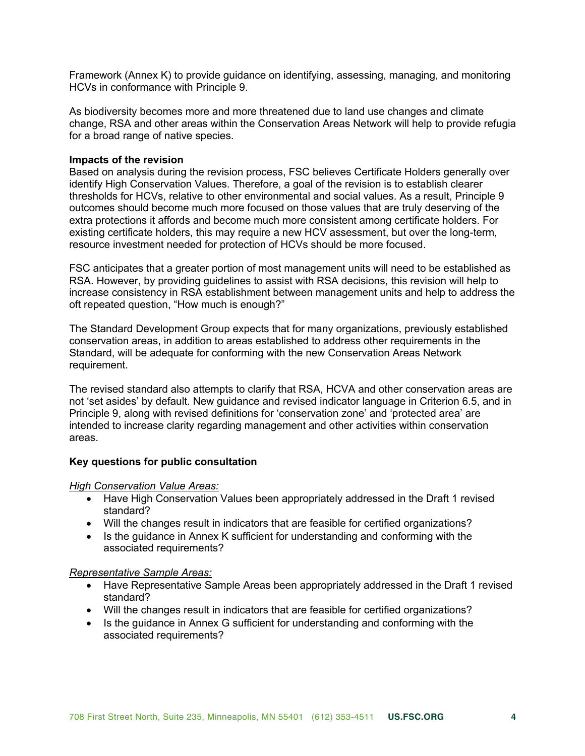Framework (Annex K) to provide guidance on identifying, assessing, managing, and monitoring HCVs in conformance with Principle 9.

As biodiversity becomes more and more threatened due to land use changes and climate change, RSA and other areas within the Conservation Areas Network will help to provide refugia for a broad range of native species.

### **Impacts of the revision**

Based on analysis during the revision process, FSC believes Certificate Holders generally over identify High Conservation Values. Therefore, a goal of the revision is to establish clearer thresholds for HCVs, relative to other environmental and social values. As a result, Principle 9 outcomes should become much more focused on those values that are truly deserving of the extra protections it affords and become much more consistent among certificate holders. For existing certificate holders, this may require a new HCV assessment, but over the long-term, resource investment needed for protection of HCVs should be more focused.

FSC anticipates that a greater portion of most management units will need to be established as RSA. However, by providing guidelines to assist with RSA decisions, this revision will help to increase consistency in RSA establishment between management units and help to address the oft repeated question, "How much is enough?"

The Standard Development Group expects that for many organizations, previously established conservation areas, in addition to areas established to address other requirements in the Standard, will be adequate for conforming with the new Conservation Areas Network requirement.

The revised standard also attempts to clarify that RSA, HCVA and other conservation areas are not 'set asides' by default. New guidance and revised indicator language in Criterion 6.5, and in Principle 9, along with revised definitions for 'conservation zone' and 'protected area' are intended to increase clarity regarding management and other activities within conservation areas.

### **Key questions for public consultation**

#### *High Conservation Value Areas:*

- Have High Conservation Values been appropriately addressed in the Draft 1 revised standard?
- Will the changes result in indicators that are feasible for certified organizations?
- Is the guidance in Annex K sufficient for understanding and conforming with the associated requirements?

### *Representative Sample Areas:*

- Have Representative Sample Areas been appropriately addressed in the Draft 1 revised standard?
- Will the changes result in indicators that are feasible for certified organizations?
- Is the guidance in Annex G sufficient for understanding and conforming with the associated requirements?